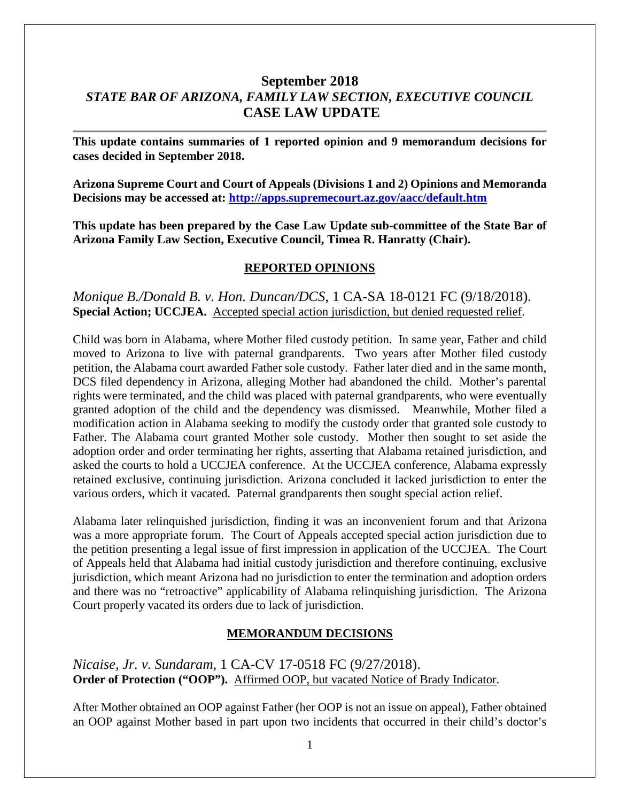# **September 2018** *STATE BAR OF ARIZONA, FAMILY LAW SECTION, EXECUTIVE COUNCIL* **CASE LAW UPDATE**

**This update contains summaries of 1 reported opinion and 9 memorandum decisions for cases decided in September 2018.**

**Arizona Supreme Court and Court of Appeals (Divisions 1 and 2) Opinions and Memoranda Decisions may be accessed at: <http://apps.supremecourt.az.gov/aacc/default.htm>**

**This update has been prepared by the Case Law Update sub-committee of the State Bar of Arizona Family Law Section, Executive Council, Timea R. Hanratty (Chair).**

#### **REPORTED OPINIONS**

*Monique B./Donald B. v. Hon. Duncan/DCS*, 1 CA-SA 18-0121 FC (9/18/2018). **Special Action; UCCJEA.** Accepted special action jurisdiction, but denied requested relief.

Child was born in Alabama, where Mother filed custody petition. In same year, Father and child moved to Arizona to live with paternal grandparents. Two years after Mother filed custody petition, the Alabama court awarded Father sole custody. Father later died and in the same month, DCS filed dependency in Arizona, alleging Mother had abandoned the child. Mother's parental rights were terminated, and the child was placed with paternal grandparents, who were eventually granted adoption of the child and the dependency was dismissed. Meanwhile, Mother filed a modification action in Alabama seeking to modify the custody order that granted sole custody to Father. The Alabama court granted Mother sole custody. Mother then sought to set aside the adoption order and order terminating her rights, asserting that Alabama retained jurisdiction, and asked the courts to hold a UCCJEA conference. At the UCCJEA conference, Alabama expressly retained exclusive, continuing jurisdiction. Arizona concluded it lacked jurisdiction to enter the various orders, which it vacated. Paternal grandparents then sought special action relief.

Alabama later relinquished jurisdiction, finding it was an inconvenient forum and that Arizona was a more appropriate forum. The Court of Appeals accepted special action jurisdiction due to the petition presenting a legal issue of first impression in application of the UCCJEA. The Court of Appeals held that Alabama had initial custody jurisdiction and therefore continuing, exclusive jurisdiction, which meant Arizona had no jurisdiction to enter the termination and adoption orders and there was no "retroactive" applicability of Alabama relinquishing jurisdiction. The Arizona Court properly vacated its orders due to lack of jurisdiction.

#### **MEMORANDUM DECISIONS**

*Nicaise, Jr. v. Sundaram*, 1 CA-CV 17-0518 FC (9/27/2018). **Order of Protection ("OOP").** Affirmed OOP, but vacated Notice of Brady Indicator.

After Mother obtained an OOP against Father (her OOP is not an issue on appeal), Father obtained an OOP against Mother based in part upon two incidents that occurred in their child's doctor's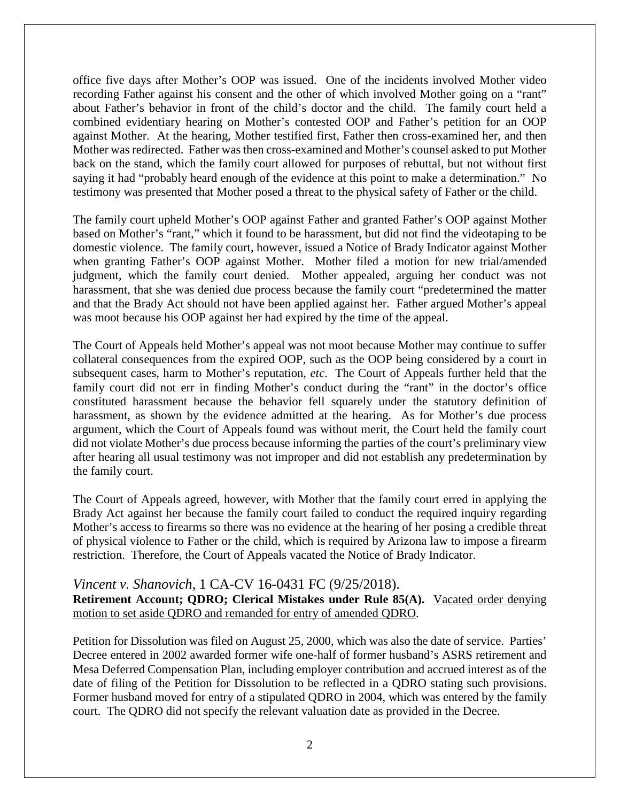office five days after Mother's OOP was issued. One of the incidents involved Mother video recording Father against his consent and the other of which involved Mother going on a "rant" about Father's behavior in front of the child's doctor and the child. The family court held a combined evidentiary hearing on Mother's contested OOP and Father's petition for an OOP against Mother. At the hearing, Mother testified first, Father then cross-examined her, and then Mother was redirected. Father was then cross-examined and Mother's counsel asked to put Mother back on the stand, which the family court allowed for purposes of rebuttal, but not without first saying it had "probably heard enough of the evidence at this point to make a determination." No testimony was presented that Mother posed a threat to the physical safety of Father or the child.

The family court upheld Mother's OOP against Father and granted Father's OOP against Mother based on Mother's "rant," which it found to be harassment, but did not find the videotaping to be domestic violence. The family court, however, issued a Notice of Brady Indicator against Mother when granting Father's OOP against Mother. Mother filed a motion for new trial/amended judgment, which the family court denied. Mother appealed, arguing her conduct was not harassment, that she was denied due process because the family court "predetermined the matter and that the Brady Act should not have been applied against her. Father argued Mother's appeal was moot because his OOP against her had expired by the time of the appeal.

The Court of Appeals held Mother's appeal was not moot because Mother may continue to suffer collateral consequences from the expired OOP, such as the OOP being considered by a court in subsequent cases, harm to Mother's reputation, *etc*. The Court of Appeals further held that the family court did not err in finding Mother's conduct during the "rant" in the doctor's office constituted harassment because the behavior fell squarely under the statutory definition of harassment, as shown by the evidence admitted at the hearing. As for Mother's due process argument, which the Court of Appeals found was without merit, the Court held the family court did not violate Mother's due process because informing the parties of the court's preliminary view after hearing all usual testimony was not improper and did not establish any predetermination by the family court.

The Court of Appeals agreed, however, with Mother that the family court erred in applying the Brady Act against her because the family court failed to conduct the required inquiry regarding Mother's access to firearms so there was no evidence at the hearing of her posing a credible threat of physical violence to Father or the child, which is required by Arizona law to impose a firearm restriction. Therefore, the Court of Appeals vacated the Notice of Brady Indicator.

*Vincent v. Shanovich*, 1 CA-CV 16-0431 FC (9/25/2018). **Retirement Account; QDRO; Clerical Mistakes under Rule 85(A).** Vacated order denying motion to set aside QDRO and remanded for entry of amended QDRO.

Petition for Dissolution was filed on August 25, 2000, which was also the date of service. Parties' Decree entered in 2002 awarded former wife one-half of former husband's ASRS retirement and Mesa Deferred Compensation Plan, including employer contribution and accrued interest as of the date of filing of the Petition for Dissolution to be reflected in a QDRO stating such provisions. Former husband moved for entry of a stipulated QDRO in 2004, which was entered by the family court. The QDRO did not specify the relevant valuation date as provided in the Decree.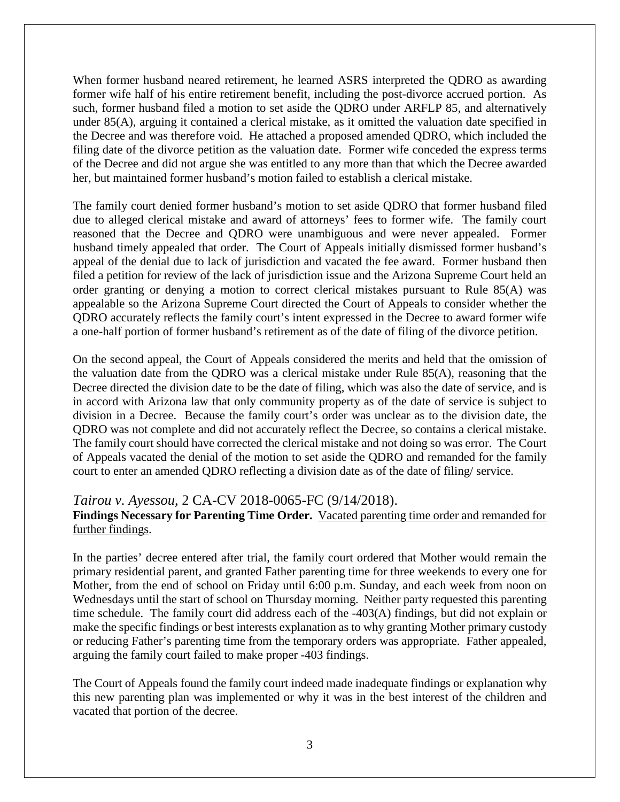When former husband neared retirement, he learned ASRS interpreted the QDRO as awarding former wife half of his entire retirement benefit, including the post-divorce accrued portion. As such, former husband filed a motion to set aside the QDRO under ARFLP 85, and alternatively under 85(A), arguing it contained a clerical mistake, as it omitted the valuation date specified in the Decree and was therefore void. He attached a proposed amended QDRO, which included the filing date of the divorce petition as the valuation date. Former wife conceded the express terms of the Decree and did not argue she was entitled to any more than that which the Decree awarded her, but maintained former husband's motion failed to establish a clerical mistake.

The family court denied former husband's motion to set aside QDRO that former husband filed due to alleged clerical mistake and award of attorneys' fees to former wife. The family court reasoned that the Decree and QDRO were unambiguous and were never appealed. Former husband timely appealed that order. The Court of Appeals initially dismissed former husband's appeal of the denial due to lack of jurisdiction and vacated the fee award. Former husband then filed a petition for review of the lack of jurisdiction issue and the Arizona Supreme Court held an order granting or denying a motion to correct clerical mistakes pursuant to Rule 85(A) was appealable so the Arizona Supreme Court directed the Court of Appeals to consider whether the QDRO accurately reflects the family court's intent expressed in the Decree to award former wife a one-half portion of former husband's retirement as of the date of filing of the divorce petition.

On the second appeal, the Court of Appeals considered the merits and held that the omission of the valuation date from the QDRO was a clerical mistake under Rule 85(A), reasoning that the Decree directed the division date to be the date of filing, which was also the date of service, and is in accord with Arizona law that only community property as of the date of service is subject to division in a Decree. Because the family court's order was unclear as to the division date, the QDRO was not complete and did not accurately reflect the Decree, so contains a clerical mistake. The family court should have corrected the clerical mistake and not doing so was error. The Court of Appeals vacated the denial of the motion to set aside the QDRO and remanded for the family court to enter an amended QDRO reflecting a division date as of the date of filing/ service.

#### *Tairou v. Ayessou*, 2 CA-CV 2018-0065-FC (9/14/2018).

#### **Findings Necessary for Parenting Time Order.** Vacated parenting time order and remanded for further findings.

In the parties' decree entered after trial, the family court ordered that Mother would remain the primary residential parent, and granted Father parenting time for three weekends to every one for Mother, from the end of school on Friday until 6:00 p.m. Sunday, and each week from noon on Wednesdays until the start of school on Thursday morning. Neither party requested this parenting time schedule. The family court did address each of the -403(A) findings, but did not explain or make the specific findings or best interests explanation as to why granting Mother primary custody or reducing Father's parenting time from the temporary orders was appropriate. Father appealed, arguing the family court failed to make proper -403 findings.

The Court of Appeals found the family court indeed made inadequate findings or explanation why this new parenting plan was implemented or why it was in the best interest of the children and vacated that portion of the decree.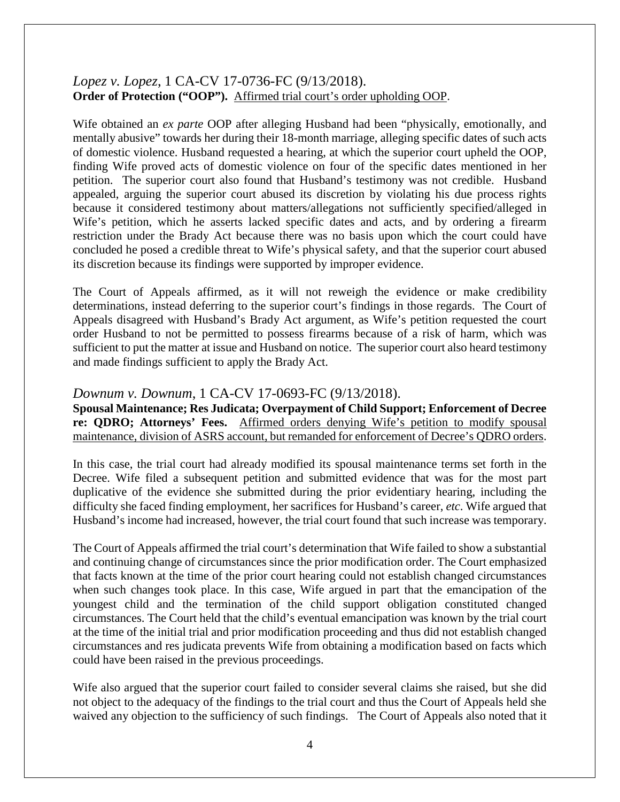## *Lopez v. Lopez*, 1 CA-CV 17-0736-FC (9/13/2018). **Order of Protection ("OOP").** Affirmed trial court's order upholding OOP.

Wife obtained an *ex parte* OOP after alleging Husband had been "physically, emotionally, and mentally abusive" towards her during their 18-month marriage, alleging specific dates of such acts of domestic violence. Husband requested a hearing, at which the superior court upheld the OOP, finding Wife proved acts of domestic violence on four of the specific dates mentioned in her petition. The superior court also found that Husband's testimony was not credible. Husband appealed, arguing the superior court abused its discretion by violating his due process rights because it considered testimony about matters/allegations not sufficiently specified/alleged in Wife's petition, which he asserts lacked specific dates and acts, and by ordering a firearm restriction under the Brady Act because there was no basis upon which the court could have concluded he posed a credible threat to Wife's physical safety, and that the superior court abused its discretion because its findings were supported by improper evidence.

The Court of Appeals affirmed, as it will not reweigh the evidence or make credibility determinations, instead deferring to the superior court's findings in those regards. The Court of Appeals disagreed with Husband's Brady Act argument, as Wife's petition requested the court order Husband to not be permitted to possess firearms because of a risk of harm, which was sufficient to put the matter at issue and Husband on notice. The superior court also heard testimony and made findings sufficient to apply the Brady Act.

### *Downum v. Downum*, 1 CA-CV 17-0693-FC (9/13/2018).

**Spousal Maintenance; Res Judicata; Overpayment of Child Support; Enforcement of Decree re: QDRO; Attorneys' Fees.** Affirmed orders denying Wife's petition to modify spousal maintenance, division of ASRS account, but remanded for enforcement of Decree's QDRO orders.

In this case, the trial court had already modified its spousal maintenance terms set forth in the Decree. Wife filed a subsequent petition and submitted evidence that was for the most part duplicative of the evidence she submitted during the prior evidentiary hearing, including the difficulty she faced finding employment, her sacrifices for Husband's career, *etc*. Wife argued that Husband's income had increased, however, the trial court found that such increase was temporary.

The Court of Appeals affirmed the trial court's determination that Wife failed to show a substantial and continuing change of circumstances since the prior modification order. The Court emphasized that facts known at the time of the prior court hearing could not establish changed circumstances when such changes took place. In this case, Wife argued in part that the emancipation of the youngest child and the termination of the child support obligation constituted changed circumstances. The Court held that the child's eventual emancipation was known by the trial court at the time of the initial trial and prior modification proceeding and thus did not establish changed circumstances and res judicata prevents Wife from obtaining a modification based on facts which could have been raised in the previous proceedings.

Wife also argued that the superior court failed to consider several claims she raised, but she did not object to the adequacy of the findings to the trial court and thus the Court of Appeals held she waived any objection to the sufficiency of such findings. The Court of Appeals also noted that it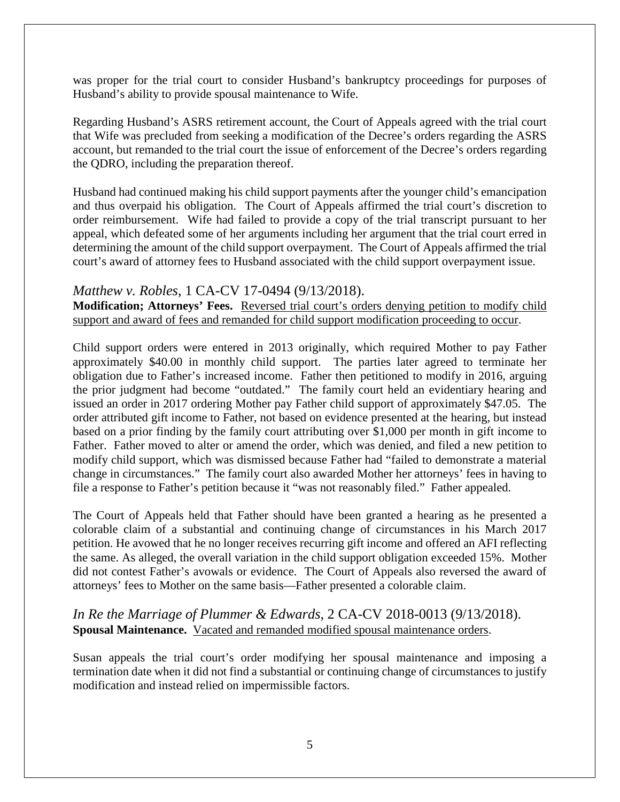was proper for the trial court to consider Husband's bankruptcy proceedings for purposes of Husband's ability to provide spousal maintenance to Wife.

Regarding Husband's ASRS retirement account, the Court of Appeals agreed with the trial court that Wife was precluded from seeking a modification of the Decree's orders regarding the ASRS account, but remanded to the trial court the issue of enforcement of the Decree's orders regarding the QDRO, including the preparation thereof.

Husband had continued making his child support payments after the younger child's emancipation and thus overpaid his obligation. The Court of Appeals affirmed the trial court's discretion to order reimbursement. Wife had failed to provide a copy of the trial transcript pursuant to her appeal, which defeated some of her arguments including her argument that the trial court erred in determining the amount of the child support overpayment. The Court of Appeals affirmed the trial court's award of attorney fees to Husband associated with the child support overpayment issue.

#### *Matthew v. Robles*, 1 CA-CV 17-0494 (9/13/2018).

**Modification; Attorneys' Fees.** Reversed trial court's orders denying petition to modify child support and award of fees and remanded for child support modification proceeding to occur.

Child support orders were entered in 2013 originally, which required Mother to pay Father approximately \$40.00 in monthly child support. The parties later agreed to terminate her obligation due to Father's increased income. Father then petitioned to modify in 2016, arguing the prior judgment had become "outdated." The family court held an evidentiary hearing and issued an order in 2017 ordering Mother pay Father child support of approximately \$47.05. The order attributed gift income to Father, not based on evidence presented at the hearing, but instead based on a prior finding by the family court attributing over \$1,000 per month in gift income to Father. Father moved to alter or amend the order, which was denied, and filed a new petition to modify child support, which was dismissed because Father had "failed to demonstrate a material change in circumstances." The family court also awarded Mother her attorneys' fees in having to file a response to Father's petition because it "was not reasonably filed." Father appealed.

The Court of Appeals held that Father should have been granted a hearing as he presented a colorable claim of a substantial and continuing change of circumstances in his March 2017 petition. He avowed that he no longer receives recurring gift income and offered an AFI reflecting the same. As alleged, the overall variation in the child support obligation exceeded 15%. Mother did not contest Father's avowals or evidence. The Court of Appeals also reversed the award of attorneys' fees to Mother on the same basis—Father presented a colorable claim.

## *In Re the Marriage of Plummer & Edwards*, 2 CA-CV 2018-0013 (9/13/2018). **Spousal Maintenance.** Vacated and remanded modified spousal maintenance orders.

Susan appeals the trial court's order modifying her spousal maintenance and imposing a termination date when it did not find a substantial or continuing change of circumstances to justify modification and instead relied on impermissible factors.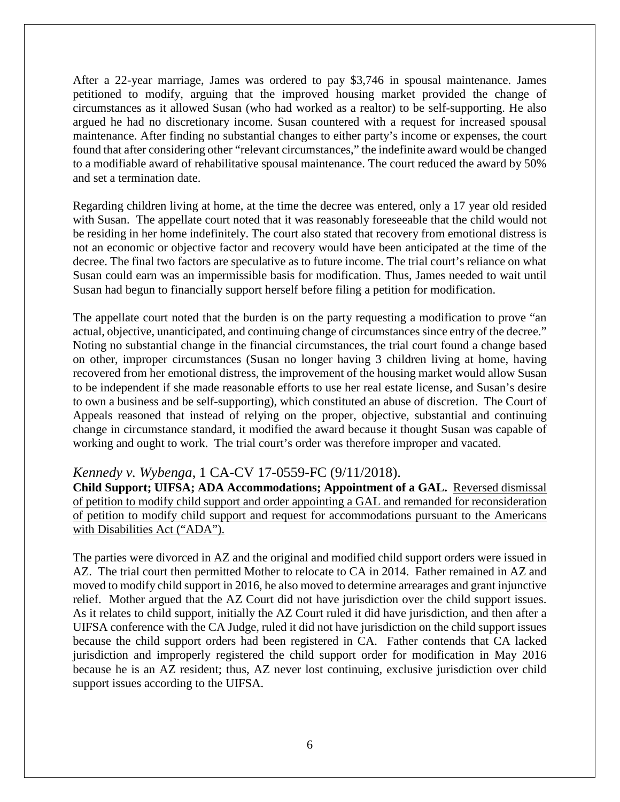After a 22-year marriage, James was ordered to pay \$3,746 in spousal maintenance. James petitioned to modify, arguing that the improved housing market provided the change of circumstances as it allowed Susan (who had worked as a realtor) to be self-supporting. He also argued he had no discretionary income. Susan countered with a request for increased spousal maintenance. After finding no substantial changes to either party's income or expenses, the court found that after considering other "relevant circumstances," the indefinite award would be changed to a modifiable award of rehabilitative spousal maintenance. The court reduced the award by 50% and set a termination date.

Regarding children living at home, at the time the decree was entered, only a 17 year old resided with Susan. The appellate court noted that it was reasonably foreseeable that the child would not be residing in her home indefinitely. The court also stated that recovery from emotional distress is not an economic or objective factor and recovery would have been anticipated at the time of the decree. The final two factors are speculative as to future income. The trial court's reliance on what Susan could earn was an impermissible basis for modification. Thus, James needed to wait until Susan had begun to financially support herself before filing a petition for modification.

The appellate court noted that the burden is on the party requesting a modification to prove "an actual, objective, unanticipated, and continuing change of circumstances since entry of the decree." Noting no substantial change in the financial circumstances, the trial court found a change based on other, improper circumstances (Susan no longer having 3 children living at home, having recovered from her emotional distress, the improvement of the housing market would allow Susan to be independent if she made reasonable efforts to use her real estate license, and Susan's desire to own a business and be self-supporting), which constituted an abuse of discretion. The Court of Appeals reasoned that instead of relying on the proper, objective, substantial and continuing change in circumstance standard, it modified the award because it thought Susan was capable of working and ought to work. The trial court's order was therefore improper and vacated.

### *Kennedy v. Wybenga*, 1 CA-CV 17-0559-FC (9/11/2018).

**Child Support; UIFSA; ADA Accommodations; Appointment of a GAL.** Reversed dismissal of petition to modify child support and order appointing a GAL and remanded for reconsideration of petition to modify child support and request for accommodations pursuant to the Americans with Disabilities Act ("ADA").

The parties were divorced in AZ and the original and modified child support orders were issued in AZ. The trial court then permitted Mother to relocate to CA in 2014. Father remained in AZ and moved to modify child support in 2016, he also moved to determine arrearages and grant injunctive relief. Mother argued that the AZ Court did not have jurisdiction over the child support issues. As it relates to child support, initially the AZ Court ruled it did have jurisdiction, and then after a UIFSA conference with the CA Judge, ruled it did not have jurisdiction on the child support issues because the child support orders had been registered in CA. Father contends that CA lacked jurisdiction and improperly registered the child support order for modification in May 2016 because he is an AZ resident; thus, AZ never lost continuing, exclusive jurisdiction over child support issues according to the UIFSA.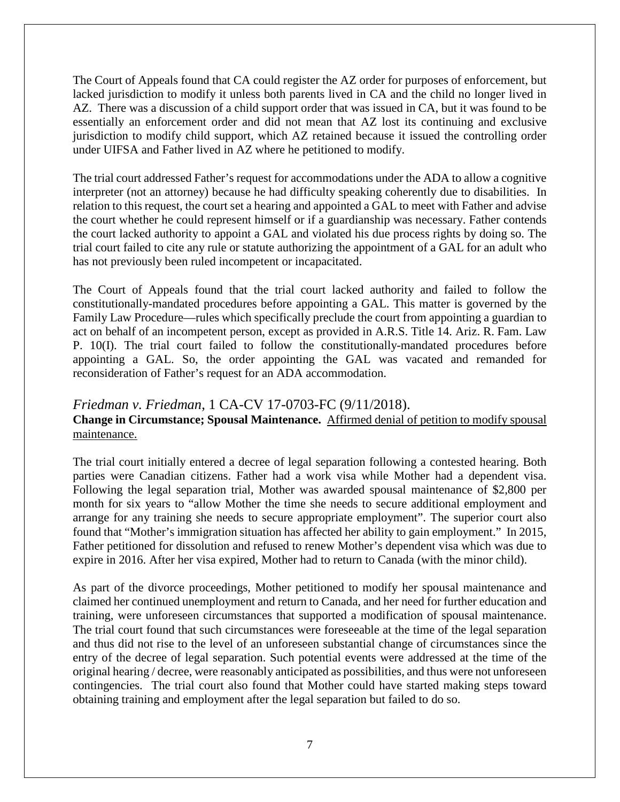The Court of Appeals found that CA could register the AZ order for purposes of enforcement, but lacked jurisdiction to modify it unless both parents lived in CA and the child no longer lived in AZ. There was a discussion of a child support order that was issued in CA, but it was found to be essentially an enforcement order and did not mean that AZ lost its continuing and exclusive jurisdiction to modify child support, which AZ retained because it issued the controlling order under UIFSA and Father lived in AZ where he petitioned to modify.

The trial court addressed Father's request for accommodations under the ADA to allow a cognitive interpreter (not an attorney) because he had difficulty speaking coherently due to disabilities. In relation to this request, the court set a hearing and appointed a GAL to meet with Father and advise the court whether he could represent himself or if a guardianship was necessary. Father contends the court lacked authority to appoint a GAL and violated his due process rights by doing so. The trial court failed to cite any rule or statute authorizing the appointment of a GAL for an adult who has not previously been ruled incompetent or incapacitated.

The Court of Appeals found that the trial court lacked authority and failed to follow the constitutionally-mandated procedures before appointing a GAL. This matter is governed by the Family Law Procedure—rules which specifically preclude the court from appointing a guardian to act on behalf of an incompetent person, except as provided in A.R.S. Title 14. Ariz. R. Fam. Law P. 10(I). The trial court failed to follow the constitutionally-mandated procedures before appointing a GAL. So, the order appointing the GAL was vacated and remanded for reconsideration of Father's request for an ADA accommodation.

#### *Friedman v. Friedman*, 1 CA-CV 17-0703-FC (9/11/2018).

#### **Change in Circumstance; Spousal Maintenance.** Affirmed denial of petition to modify spousal maintenance.

The trial court initially entered a decree of legal separation following a contested hearing. Both parties were Canadian citizens. Father had a work visa while Mother had a dependent visa. Following the legal separation trial, Mother was awarded spousal maintenance of \$2,800 per month for six years to "allow Mother the time she needs to secure additional employment and arrange for any training she needs to secure appropriate employment". The superior court also found that "Mother's immigration situation has affected her ability to gain employment." In 2015, Father petitioned for dissolution and refused to renew Mother's dependent visa which was due to expire in 2016. After her visa expired, Mother had to return to Canada (with the minor child).

As part of the divorce proceedings, Mother petitioned to modify her spousal maintenance and claimed her continued unemployment and return to Canada, and her need for further education and training, were unforeseen circumstances that supported a modification of spousal maintenance. The trial court found that such circumstances were foreseeable at the time of the legal separation and thus did not rise to the level of an unforeseen substantial change of circumstances since the entry of the decree of legal separation. Such potential events were addressed at the time of the original hearing / decree, were reasonably anticipated as possibilities, and thus were not unforeseen contingencies. The trial court also found that Mother could have started making steps toward obtaining training and employment after the legal separation but failed to do so.